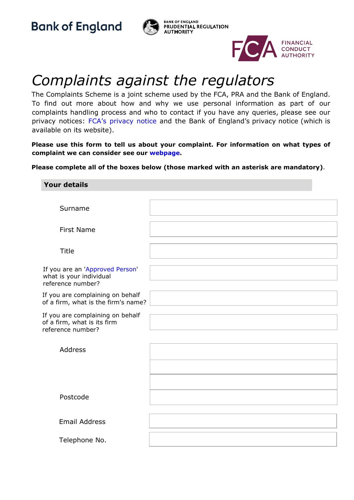**Bank of England** 





## *Complaints against the regulators*

The Complaints Scheme is a joint scheme used by the FCA, PRA and the Bank of England. To find out more about how and why we use personal information as part of our complaints handling process and who to contact if you have any queries, please see our privacy notices: [FCA's privacy notice](https://www.fca.org.uk/data-protection) [a](https://www.fca.org.uk/data-protection)nd the Bank of England's privacy notice (which is available on its website).

**Please use this form to tell us about your complaint. For information on what types of complaint we can consider see our webpage.**

**Please complete all of the boxes below (those marked with an asterisk are mandatory)**.

| <b>Your details</b>                                                                  |  |
|--------------------------------------------------------------------------------------|--|
|                                                                                      |  |
| Surname                                                                              |  |
| <b>First Name</b>                                                                    |  |
| <b>Title</b>                                                                         |  |
| If you are an 'Approved Person'<br>what is your individual<br>reference number?      |  |
| If you are complaining on behalf<br>of a firm, what is the firm's name?              |  |
| If you are complaining on behalf<br>of a firm, what is its firm<br>reference number? |  |
| Address                                                                              |  |
|                                                                                      |  |
| Postcode                                                                             |  |
| <b>Email Address</b>                                                                 |  |
| Telephone No.                                                                        |  |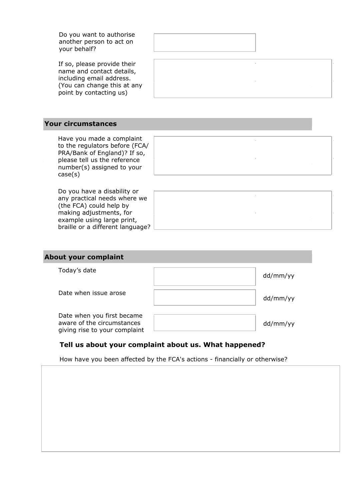| Do you want to authorise<br>another person to act on<br>your behalf?                                                                                                 |  |  |
|----------------------------------------------------------------------------------------------------------------------------------------------------------------------|--|--|
| If so, please provide their<br>name and contact details,<br>including email address.<br>(You can change this at any<br>point by contacting us)                       |  |  |
| <b>Your circumstances</b>                                                                                                                                            |  |  |
| Have you made a complaint<br>to the regulators before (FCA/<br>PRA/Bank of England)? If so,<br>please tell us the reference<br>number(s) assigned to your<br>case(s) |  |  |
| Do you have a disability or<br>any practical needs where we<br>(the FCA) could help by<br>making adjustments, for<br>example using large print,                      |  |  |

| <b>About your complaint</b>                                                               |          |
|-------------------------------------------------------------------------------------------|----------|
| Today's date                                                                              | dd/mm/yy |
| Date when issue arose                                                                     | dd/mm/yy |
| Date when you first became<br>aware of the circumstances<br>giving rise to your complaint | dd/mm/yy |

## **Tell us about your complaint about us. What happened?**

braille or a different language?

| How have you been affected by the FCA's actions - financially or otherwise? |  |  |
|-----------------------------------------------------------------------------|--|--|
|                                                                             |  |  |
|                                                                             |  |  |
|                                                                             |  |  |
|                                                                             |  |  |
|                                                                             |  |  |
|                                                                             |  |  |
|                                                                             |  |  |
|                                                                             |  |  |
|                                                                             |  |  |